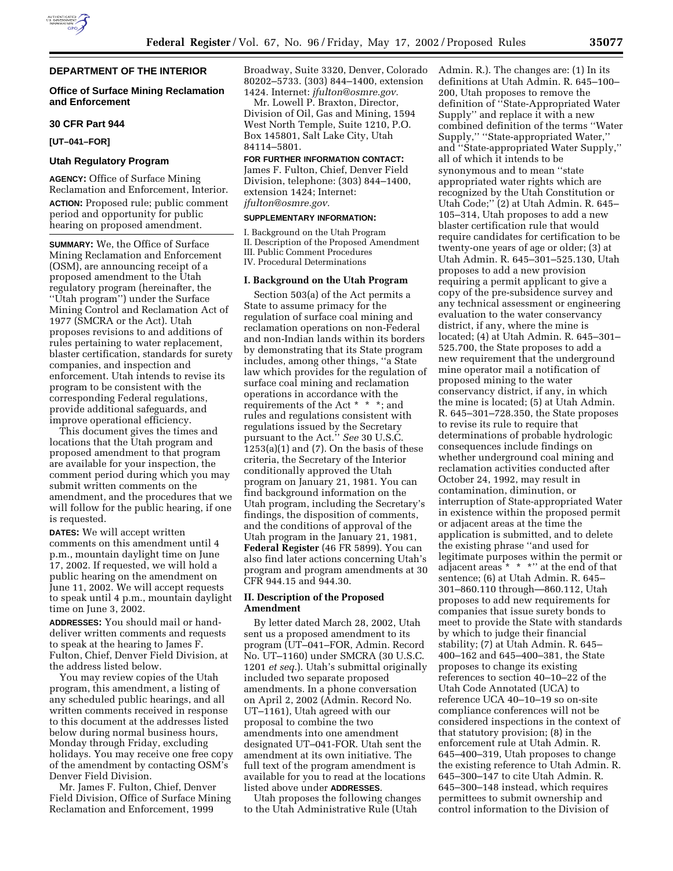# **DEPARTMENT OF THE INTERIOR**

# **Office of Surface Mining Reclamation and Enforcement**

#### **30 CFR Part 944**

**[UT–041–FOR]**

# **Utah Regulatory Program**

**AGENCY:** Office of Surface Mining Reclamation and Enforcement, Interior. **ACTION:** Proposed rule; public comment period and opportunity for public hearing on proposed amendment.

**SUMMARY:** We, the Office of Surface Mining Reclamation and Enforcement (OSM), are announcing receipt of a proposed amendment to the Utah regulatory program (hereinafter, the ''Utah program'') under the Surface Mining Control and Reclamation Act of 1977 (SMCRA or the Act). Utah proposes revisions to and additions of rules pertaining to water replacement, blaster certification, standards for surety companies, and inspection and enforcement. Utah intends to revise its program to be consistent with the corresponding Federal regulations, provide additional safeguards, and improve operational efficiency.

This document gives the times and locations that the Utah program and proposed amendment to that program are available for your inspection, the comment period during which you may submit written comments on the amendment, and the procedures that we will follow for the public hearing, if one is requested.

**DATES:** We will accept written comments on this amendment until 4 p.m., mountain daylight time on June 17, 2002. If requested, we will hold a public hearing on the amendment on June 11, 2002. We will accept requests to speak until 4 p.m., mountain daylight time on June 3, 2002.

**ADDRESSES:** You should mail or handdeliver written comments and requests to speak at the hearing to James F. Fulton, Chief, Denver Field Division, at the address listed below.

You may review copies of the Utah program, this amendment, a listing of any scheduled public hearings, and all written comments received in response to this document at the addresses listed below during normal business hours, Monday through Friday, excluding holidays. You may receive one free copy of the amendment by contacting OSM's Denver Field Division.

Mr. James F. Fulton, Chief, Denver Field Division, Office of Surface Mining Reclamation and Enforcement, 1999

Broadway, Suite 3320, Denver, Colorado 80202–5733. (303) 844–1400, extension 1424. Internet: *jfulton@osmre.gov.*

Mr. Lowell P. Braxton, Director, Division of Oil, Gas and Mining, 1594 West North Temple, Suite 1210, P.O. Box 145801, Salt Lake City, Utah 84114–5801.

#### **FOR FURTHER INFORMATION CONTACT:**

James F. Fulton, Chief, Denver Field Division, telephone: (303) 844–1400, extension 1424; Internet: *jfulton@osmre.gov.*

# **SUPPLEMENTARY INFORMATION:**

I. Background on the Utah Program II. Description of the Proposed Amendment III. Public Comment Procedures IV. Procedural Determinations

#### **I. Background on the Utah Program**

Section 503(a) of the Act permits a State to assume primacy for the regulation of surface coal mining and reclamation operations on non-Federal and non-Indian lands within its borders by demonstrating that its State program includes, among other things, ''a State law which provides for the regulation of surface coal mining and reclamation operations in accordance with the requirements of the Act \* \* \*; and rules and regulations consistent with regulations issued by the Secretary pursuant to the Act.'' *See* 30 U.S.C.  $1253(a)(1)$  and  $(7)$ . On the basis of these criteria, the Secretary of the Interior conditionally approved the Utah program on January 21, 1981. You can find background information on the Utah program, including the Secretary's findings, the disposition of comments, and the conditions of approval of the Utah program in the January 21, 1981, **Federal Register** (46 FR 5899). You can also find later actions concerning Utah's program and program amendments at 30 CFR 944.15 and 944.30.

# **II. Description of the Proposed Amendment**

By letter dated March 28, 2002, Utah sent us a proposed amendment to its program (UT–041–FOR, Admin. Record No. UT–1160) under SMCRA (30 U.S.C. 1201 *et seq.*). Utah's submittal originally included two separate proposed amendments. In a phone conversation on April 2, 2002 (Admin. Record No. UT–1161), Utah agreed with our proposal to combine the two amendments into one amendment designated UT–041-FOR. Utah sent the amendment at its own initiative. The full text of the program amendment is available for you to read at the locations listed above under **ADDRESSES**.

Utah proposes the following changes to the Utah Administrative Rule (Utah

Admin. R.). The changes are: (1) In its definitions at Utah Admin. R. 645–100– 200, Utah proposes to remove the definition of ''State-Appropriated Water Supply'' and replace it with a new combined definition of the terms ''Water Supply,'' ''State-appropriated Water,'' and ''State-appropriated Water Supply,'' all of which it intends to be synonymous and to mean ''state appropriated water rights which are recognized by the Utah Constitution or Utah Code;'' (2) at Utah Admin. R. 645– 105–314, Utah proposes to add a new blaster certification rule that would require candidates for certification to be twenty-one years of age or older; (3) at Utah Admin. R. 645–301–525.130, Utah proposes to add a new provision requiring a permit applicant to give a copy of the pre-subsidence survey and any technical assessment or engineering evaluation to the water conservancy district, if any, where the mine is located; (4) at Utah Admin. R. 645–301– 525.700, the State proposes to add a new requirement that the underground mine operator mail a notification of proposed mining to the water conservancy district, if any, in which the mine is located; (5) at Utah Admin. R. 645–301–728.350, the State proposes to revise its rule to require that determinations of probable hydrologic consequences include findings on whether underground coal mining and reclamation activities conducted after October 24, 1992, may result in contamination, diminution, or interruption of State-appropriated Water in existence within the proposed permit or adjacent areas at the time the application is submitted, and to delete the existing phrase ''and used for legitimate purposes within the permit or adjacent areas \* \* \*'' at the end of that sentence; (6) at Utah Admin. R. 645– 301–860.110 through—860.112, Utah proposes to add new requirements for companies that issue surety bonds to meet to provide the State with standards by which to judge their financial stability; (7) at Utah Admin. R. 645– 400–162 and 645–400–381, the State proposes to change its existing references to section 40–10–22 of the Utah Code Annotated (UCA) to reference UCA 40–10–19 so on-site compliance conferences will not be considered inspections in the context of that statutory provision; (8) in the enforcement rule at Utah Admin. R. 645–400–319, Utah proposes to change the existing reference to Utah Admin. R. 645–300–147 to cite Utah Admin. R. 645–300–148 instead, which requires permittees to submit ownership and control information to the Division of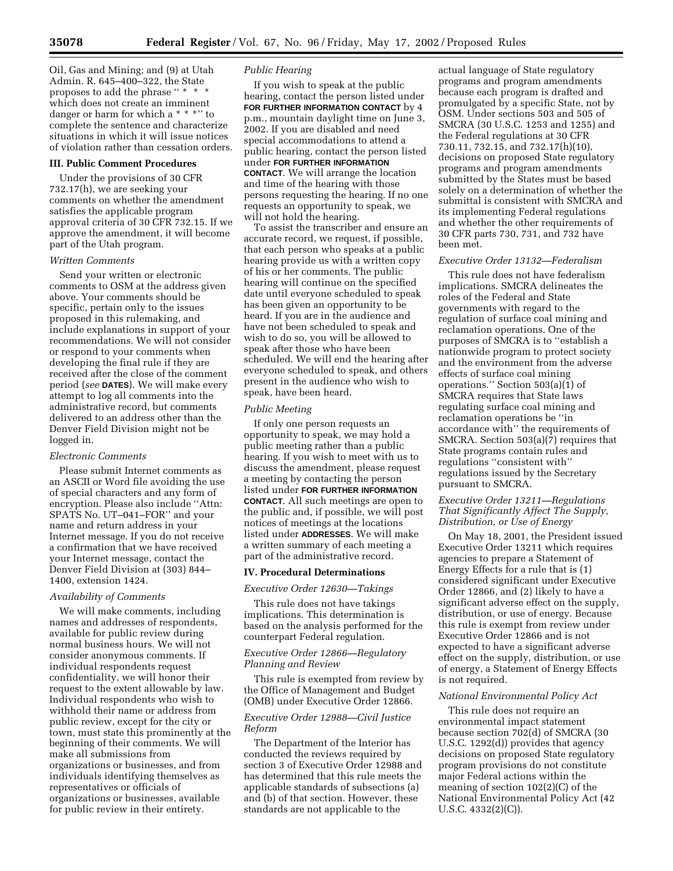Oil, Gas and Mining; and (9) at Utah Admin. R. 645–400–322, the State proposes to add the phrase " \* \* \* which does not create an imminent danger or harm for which a \* \* \*'' to complete the sentence and characterize situations in which it will issue notices of violation rather than cessation orders.

# **III. Public Comment Procedures**

Under the provisions of 30 CFR 732.17(h), we are seeking your comments on whether the amendment satisfies the applicable program approval criteria of 30 CFR 732.15. If we approve the amendment, it will become part of the Utah program.

# *Written Comments*

Send your written or electronic comments to OSM at the address given above. Your comments should be specific, pertain only to the issues proposed in this rulemaking, and include explanations in support of your recommendations. We will not consider or respond to your comments when developing the final rule if they are received after the close of the comment period (*see* **DATES**). We will make every attempt to log all comments into the administrative record, but comments delivered to an address other than the Denver Field Division might not be logged in.

### *Electronic Comments*

Please submit Internet comments as an ASCII or Word file avoiding the use of special characters and any form of encryption. Please also include ''Attn: SPATS No. UT–041–FOR'' and your name and return address in your Internet message. If you do not receive a confirmation that we have received your Internet message, contact the Denver Field Division at (303) 844– 1400, extension 1424.

# *Availability of Comments*

We will make comments, including names and addresses of respondents, available for public review during normal business hours. We will not consider anonymous comments. If individual respondents request confidentiality, we will honor their request to the extent allowable by law. Individual respondents who wish to withhold their name or address from public review, except for the city or town, must state this prominently at the beginning of their comments. We will make all submissions from organizations or businesses, and from individuals identifying themselves as representatives or officials of organizations or businesses, available for public review in their entirety.

# *Public Hearing*

If you wish to speak at the public hearing, contact the person listed under **FOR FURTHER INFORMATION CONTACT** by 4 p.m., mountain daylight time on June 3, 2002. If you are disabled and need special accommodations to attend a public hearing, contact the person listed under **FOR FURTHER INFORMATION CONTACT**. We will arrange the location and time of the hearing with those persons requesting the hearing. If no one requests an opportunity to speak, we will not hold the hearing.

To assist the transcriber and ensure an accurate record, we request, if possible, that each person who speaks at a public hearing provide us with a written copy of his or her comments. The public hearing will continue on the specified date until everyone scheduled to speak has been given an opportunity to be heard. If you are in the audience and have not been scheduled to speak and wish to do so, you will be allowed to speak after those who have been scheduled. We will end the hearing after everyone scheduled to speak, and others present in the audience who wish to speak, have been heard.

## *Public Meeting*

If only one person requests an opportunity to speak, we may hold a public meeting rather than a public hearing. If you wish to meet with us to discuss the amendment, please request a meeting by contacting the person listed under **FOR FURTHER INFORMATION CONTACT**. All such meetings are open to the public and, if possible, we will post notices of meetings at the locations listed under **ADDRESSES**. We will make a written summary of each meeting a part of the administrative record.

### **IV. Procedural Determinations**

#### *Executive Order 12630—Takings*

This rule does not have takings implications. This determination is based on the analysis performed for the counterpart Federal regulation.

# *Executive Order 12866—Regulatory Planning and Review*

This rule is exempted from review by the Office of Management and Budget (OMB) under Executive Order 12866.

## *Executive Order 12988—Civil Justice Reform*

The Department of the Interior has conducted the reviews required by section 3 of Executive Order 12988 and has determined that this rule meets the applicable standards of subsections (a) and (b) of that section. However, these standards are not applicable to the

actual language of State regulatory programs and program amendments because each program is drafted and promulgated by a specific State, not by OSM. Under sections 503 and 505 of SMCRA (30 U.S.C. 1253 and 1255) and the Federal regulations at 30 CFR 730.11, 732.15, and 732.17(h)(10), decisions on proposed State regulatory programs and program amendments submitted by the States must be based solely on a determination of whether the submittal is consistent with SMCRA and its implementing Federal regulations and whether the other requirements of 30 CFR parts 730, 731, and 732 have been met.

#### *Executive Order 13132—Federalism*

This rule does not have federalism implications. SMCRA delineates the roles of the Federal and State governments with regard to the regulation of surface coal mining and reclamation operations. One of the purposes of SMCRA is to ''establish a nationwide program to protect society and the environment from the adverse effects of surface coal mining operations.'' Section 503(a)(1) of SMCRA requires that State laws regulating surface coal mining and reclamation operations be ''in accordance with'' the requirements of SMCRA. Section 503(a)(7) requires that State programs contain rules and regulations ''consistent with'' regulations issued by the Secretary pursuant to SMCRA.

# *Executive Order 13211—Regulations That Significantly Affect The Supply, Distribution, or Use of Energy*

On May 18, 2001, the President issued Executive Order 13211 which requires agencies to prepare a Statement of Energy Effects for a rule that is (1) considered significant under Executive Order 12866, and (2) likely to have a significant adverse effect on the supply, distribution, or use of energy. Because this rule is exempt from review under Executive Order 12866 and is not expected to have a significant adverse effect on the supply, distribution, or use of energy, a Statement of Energy Effects is not required.

### *National Environmental Policy Act*

This rule does not require an environmental impact statement because section 702(d) of SMCRA (30 U.S.C. 1292(d)) provides that agency decisions on proposed State regulatory program provisions do not constitute major Federal actions within the meaning of section 102(2)(C) of the National Environmental Policy Act (42 U.S.C. 4332(2)(C)).